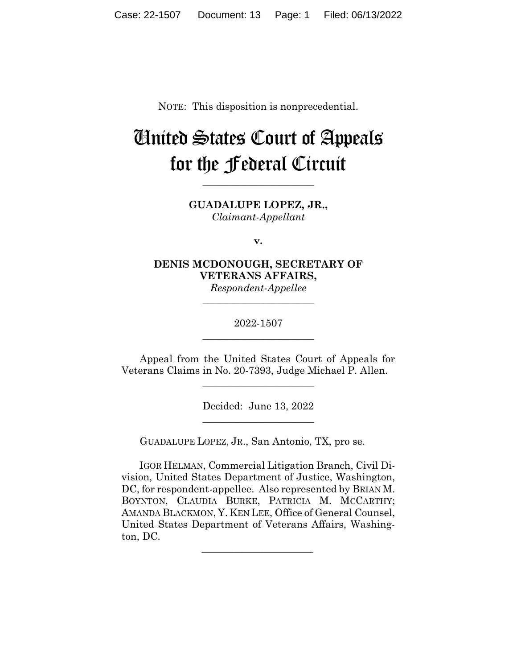NOTE: This disposition is nonprecedential.

# United States Court of Appeals for the Federal Circuit

**GUADALUPE LOPEZ, JR.,** *Claimant-Appellant*

**\_\_\_\_\_\_\_\_\_\_\_\_\_\_\_\_\_\_\_\_\_\_** 

**v.**

**DENIS MCDONOUGH, SECRETARY OF VETERANS AFFAIRS,** *Respondent-Appellee*

> 2022-1507 **\_\_\_\_\_\_\_\_\_\_\_\_\_\_\_\_\_\_\_\_\_\_**

> **\_\_\_\_\_\_\_\_\_\_\_\_\_\_\_\_\_\_\_\_\_\_**

Appeal from the United States Court of Appeals for Veterans Claims in No. 20-7393, Judge Michael P. Allen.

\_\_\_\_\_\_\_\_\_\_\_\_\_\_\_\_\_\_\_\_\_\_

Decided: June 13, 2022 \_\_\_\_\_\_\_\_\_\_\_\_\_\_\_\_\_\_\_\_\_\_

GUADALUPE LOPEZ, JR., San Antonio, TX, pro se.

 IGOR HELMAN, Commercial Litigation Branch, Civil Division, United States Department of Justice, Washington, DC, for respondent-appellee. Also represented by BRIAN M. BOYNTON, CLAUDIA BURKE, PATRICIA M. MCCARTHY; AMANDA BLACKMON, Y. KEN LEE, Office of General Counsel, United States Department of Veterans Affairs, Washington, DC.

 $\mathcal{L}_\text{max}$  and  $\mathcal{L}_\text{max}$  and  $\mathcal{L}_\text{max}$  and  $\mathcal{L}_\text{max}$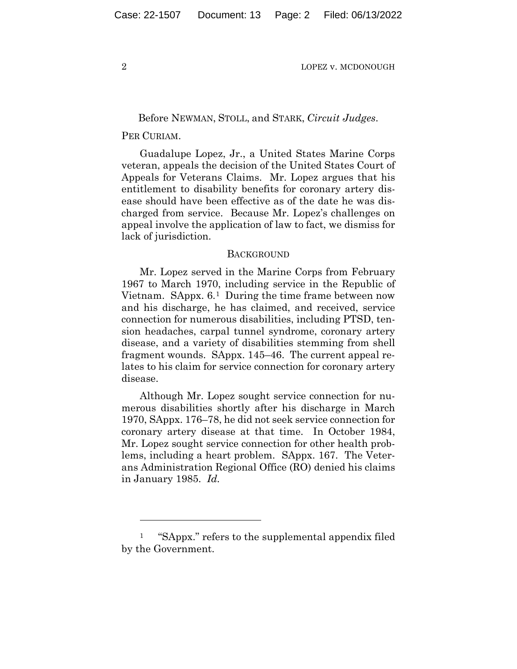## Before NEWMAN, STOLL, and STARK, *Circuit Judges*.

## PER CURIAM.

Guadalupe Lopez, Jr., a United States Marine Corps veteran, appeals the decision of the United States Court of Appeals for Veterans Claims. Mr. Lopez argues that his entitlement to disability benefits for coronary artery disease should have been effective as of the date he was discharged from service. Because Mr. Lopez's challenges on appeal involve the application of law to fact, we dismiss for lack of jurisdiction.

### BACKGROUND

Mr. Lopez served in the Marine Corps from February 1967 to March 1970, including service in the Republic of Vietnam. SAppx. 6.1 During the time frame between now and his discharge, he has claimed, and received, service connection for numerous disabilities, including PTSD, tension headaches, carpal tunnel syndrome, coronary artery disease, and a variety of disabilities stemming from shell fragment wounds. SAppx. 145–46. The current appeal relates to his claim for service connection for coronary artery disease.

Although Mr. Lopez sought service connection for numerous disabilities shortly after his discharge in March 1970, SAppx. 176–78, he did not seek service connection for coronary artery disease at that time. In October 1984, Mr. Lopez sought service connection for other health problems, including a heart problem. SAppx. 167. The Veterans Administration Regional Office (RO) denied his claims in January 1985. *Id.*

<sup>1 &</sup>quot;SAppx." refers to the supplemental appendix filed by the Government.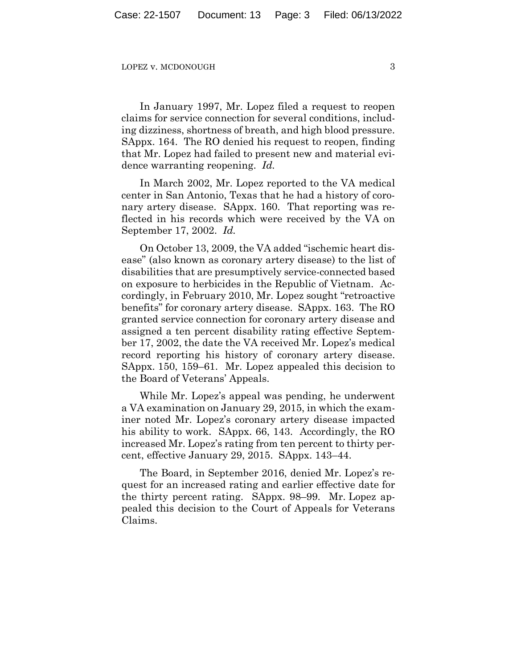In January 1997, Mr. Lopez filed a request to reopen claims for service connection for several conditions, including dizziness, shortness of breath, and high blood pressure. SAppx. 164. The RO denied his request to reopen, finding that Mr. Lopez had failed to present new and material evidence warranting reopening. *Id.*

In March 2002, Mr. Lopez reported to the VA medical center in San Antonio, Texas that he had a history of coronary artery disease. SAppx. 160. That reporting was reflected in his records which were received by the VA on September 17, 2002. *Id.*

On October 13, 2009, the VA added "ischemic heart disease" (also known as coronary artery disease) to the list of disabilities that are presumptively service-connected based on exposure to herbicides in the Republic of Vietnam. Accordingly, in February 2010, Mr. Lopez sought "retroactive benefits" for coronary artery disease. SAppx. 163. The RO granted service connection for coronary artery disease and assigned a ten percent disability rating effective September 17, 2002, the date the VA received Mr. Lopez's medical record reporting his history of coronary artery disease. SAppx. 150, 159–61. Mr. Lopez appealed this decision to the Board of Veterans' Appeals.

While Mr. Lopez's appeal was pending, he underwent a VA examination on January 29, 2015, in which the examiner noted Mr. Lopez's coronary artery disease impacted his ability to work. SAppx. 66, 143. Accordingly, the RO increased Mr. Lopez's rating from ten percent to thirty percent, effective January 29, 2015. SAppx. 143–44.

The Board, in September 2016, denied Mr. Lopez's request for an increased rating and earlier effective date for the thirty percent rating. SAppx. 98–99. Mr. Lopez appealed this decision to the Court of Appeals for Veterans Claims.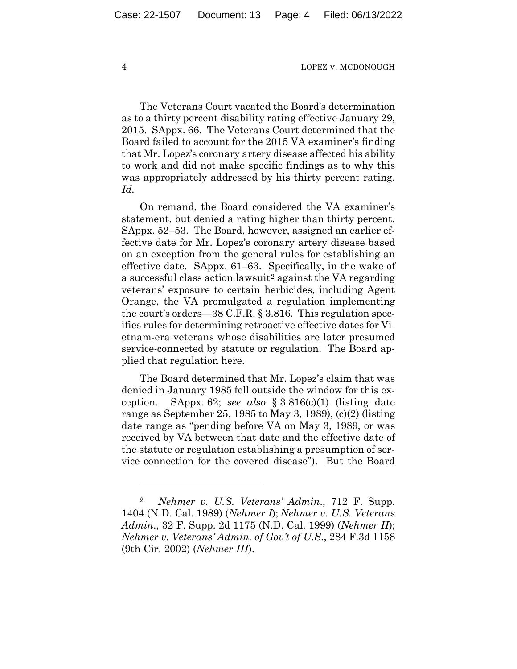The Veterans Court vacated the Board's determination as to a thirty percent disability rating effective January 29, 2015. SAppx. 66. The Veterans Court determined that the Board failed to account for the 2015 VA examiner's finding that Mr. Lopez's coronary artery disease affected his ability to work and did not make specific findings as to why this was appropriately addressed by his thirty percent rating. *Id.*

On remand, the Board considered the VA examiner's statement, but denied a rating higher than thirty percent. SAppx. 52–53. The Board, however, assigned an earlier effective date for Mr. Lopez's coronary artery disease based on an exception from the general rules for establishing an effective date. SAppx. 61–63. Specifically, in the wake of a successful class action lawsuit<sup>2</sup> against the VA regarding veterans' exposure to certain herbicides, including Agent Orange, the VA promulgated a regulation implementing the court's orders—38 C.F.R. § 3.816. This regulation specifies rules for determining retroactive effective dates for Vietnam-era veterans whose disabilities are later presumed service-connected by statute or regulation. The Board applied that regulation here.

The Board determined that Mr. Lopez's claim that was denied in January 1985 fell outside the window for this exception. SAppx. 62; *see also* § 3.816(c)(1) (listing date range as September 25, 1985 to May 3, 1989), (c)(2) (listing date range as "pending before VA on May 3, 1989, or was received by VA between that date and the effective date of the statute or regulation establishing a presumption of service connection for the covered disease"). But the Board

<sup>2</sup> *Nehmer v. U.S. Veterans' Admin*., 712 F. Supp. 1404 (N.D. Cal. 1989) (*Nehmer I*); *Nehmer v. U.S. Veterans Admin*., 32 F. Supp. 2d 1175 (N.D. Cal. 1999) (*Nehmer II*); *Nehmer v. Veterans' Admin. of Gov't of U.S*., 284 F.3d 1158 (9th Cir. 2002) (*Nehmer III*).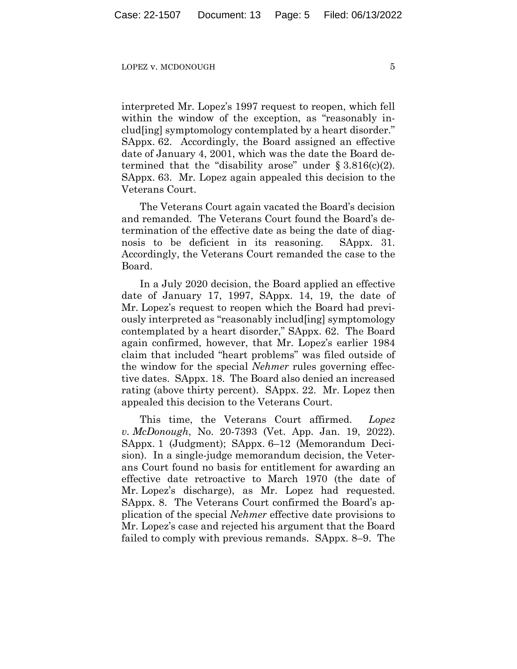interpreted Mr. Lopez's 1997 request to reopen, which fell within the window of the exception, as "reasonably includ[ing] symptomology contemplated by a heart disorder." SAppx. 62. Accordingly, the Board assigned an effective date of January 4, 2001, which was the date the Board determined that the "disability arose" under  $\S 3.816(c)(2)$ . SAppx. 63. Mr. Lopez again appealed this decision to the Veterans Court.

The Veterans Court again vacated the Board's decision and remanded. The Veterans Court found the Board's determination of the effective date as being the date of diagnosis to be deficient in its reasoning. SAppx. 31. Accordingly, the Veterans Court remanded the case to the Board.

In a July 2020 decision, the Board applied an effective date of January 17, 1997, SAppx. 14, 19, the date of Mr. Lopez's request to reopen which the Board had previously interpreted as "reasonably includ[ing] symptomology contemplated by a heart disorder," SAppx. 62. The Board again confirmed, however, that Mr. Lopez's earlier 1984 claim that included "heart problems" was filed outside of the window for the special *Nehmer* rules governing effective dates. SAppx. 18. The Board also denied an increased rating (above thirty percent). SAppx. 22. Mr. Lopez then appealed this decision to the Veterans Court.

This time, the Veterans Court affirmed. *Lopez v. McDonough*, No. 20-7393 (Vet. App. Jan. 19, 2022). SAppx. 1 (Judgment); SAppx. 6–12 (Memorandum Decision). In a single-judge memorandum decision, the Veterans Court found no basis for entitlement for awarding an effective date retroactive to March 1970 (the date of Mr. Lopez's discharge), as Mr. Lopez had requested. SAppx. 8. The Veterans Court confirmed the Board's application of the special *Nehmer* effective date provisions to Mr. Lopez's case and rejected his argument that the Board failed to comply with previous remands. SAppx. 8–9. The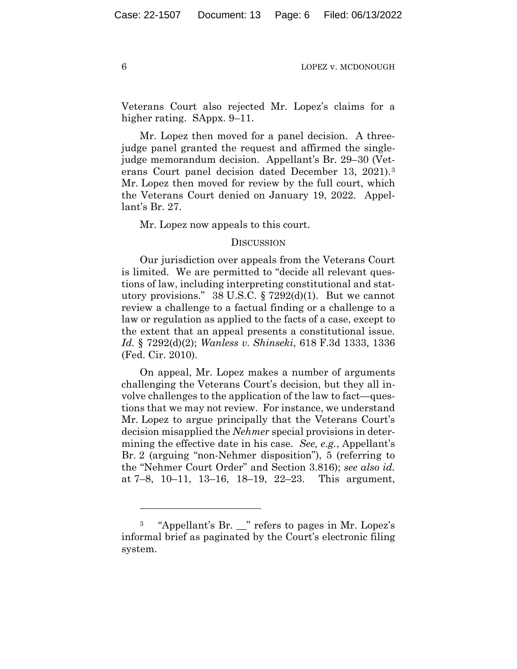Veterans Court also rejected Mr. Lopez's claims for a higher rating. SAppx. 9–11.

Mr. Lopez then moved for a panel decision. A threejudge panel granted the request and affirmed the singlejudge memorandum decision. Appellant's Br. 29–30 (Veterans Court panel decision dated December 13, 2021).3 Mr. Lopez then moved for review by the full court, which the Veterans Court denied on January 19, 2022. Appellant's Br. 27.

Mr. Lopez now appeals to this court.

## **DISCUSSION**

Our jurisdiction over appeals from the Veterans Court is limited. We are permitted to "decide all relevant questions of law, including interpreting constitutional and statutory provisions." 38 U.S.C. § 7292(d)(1). But we cannot review a challenge to a factual finding or a challenge to a law or regulation as applied to the facts of a case, except to the extent that an appeal presents a constitutional issue. *Id.* § 7292(d)(2); *Wanless v. Shinseki*, 618 F.3d 1333, 1336 (Fed. Cir. 2010).

On appeal, Mr. Lopez makes a number of arguments challenging the Veterans Court's decision, but they all involve challenges to the application of the law to fact—questions that we may not review. For instance, we understand Mr. Lopez to argue principally that the Veterans Court's decision misapplied the *Nehmer* special provisions in determining the effective date in his case. *See, e.g.*, Appellant's Br. 2 (arguing "non-Nehmer disposition"), 5 (referring to the "Nehmer Court Order" and Section 3.816); *see also id.* at 7–8, 10–11, 13–16, 18–19, 22–23. This argument,

<sup>3 &</sup>quot;Appellant's Br. \_\_" refers to pages in Mr. Lopez's informal brief as paginated by the Court's electronic filing system.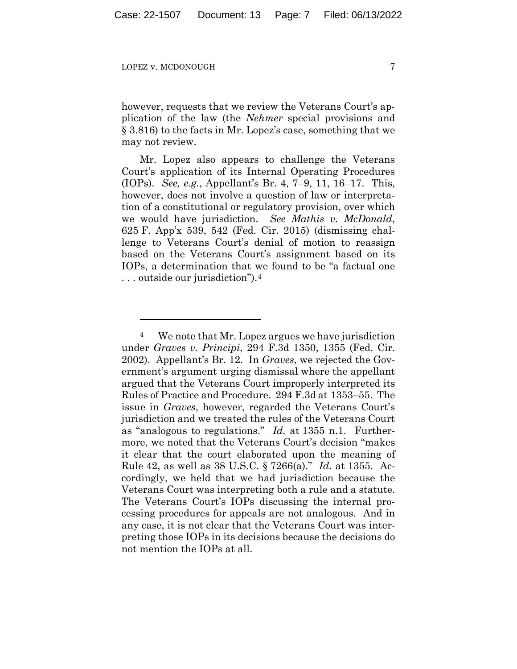however, requests that we review the Veterans Court's application of the law (the *Nehmer* special provisions and § 3.816) to the facts in Mr. Lopez's case, something that we may not review.

Mr. Lopez also appears to challenge the Veterans Court's application of its Internal Operating Procedures (IOPs). *See, e.g.*, Appellant's Br. 4, 7–9, 11, 16–17. This, however, does not involve a question of law or interpretation of a constitutional or regulatory provision, over which we would have jurisdiction. *See Mathis v. McDonald*, 625 F. App'x 539, 542 (Fed. Cir. 2015) (dismissing challenge to Veterans Court's denial of motion to reassign based on the Veterans Court's assignment based on its IOPs, a determination that we found to be "a factual one . . . outside our jurisdiction").4

<sup>4</sup> We note that Mr. Lopez argues we have jurisdiction under *Graves v. Principi*, 294 F.3d 1350, 1355 (Fed. Cir. 2002). Appellant's Br. 12. In *Graves*, we rejected the Government's argument urging dismissal where the appellant argued that the Veterans Court improperly interpreted its Rules of Practice and Procedure. 294 F.3d at 1353–55. The issue in *Graves*, however, regarded the Veterans Court's jurisdiction and we treated the rules of the Veterans Court as "analogous to regulations." *Id.* at 1355 n.1. Furthermore, we noted that the Veterans Court's decision "makes it clear that the court elaborated upon the meaning of Rule 42, as well as 38 U.S.C. § 7266(a)." *Id.* at 1355. Accordingly, we held that we had jurisdiction because the Veterans Court was interpreting both a rule and a statute. The Veterans Court's IOPs discussing the internal processing procedures for appeals are not analogous. And in any case, it is not clear that the Veterans Court was interpreting those IOPs in its decisions because the decisions do not mention the IOPs at all.